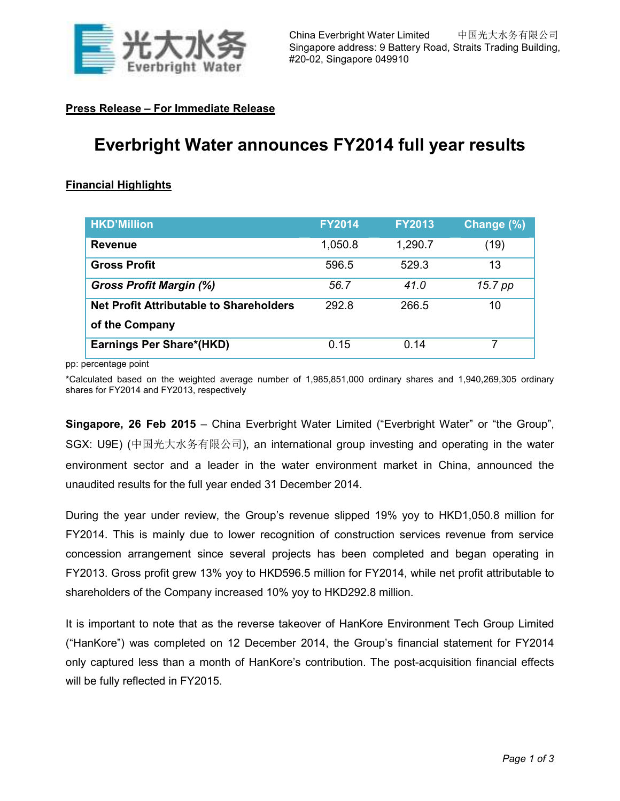

## **Press Release – For Immediate Release**

# **Everbright Water announces FY2014 full year results**

## **Financial Highlights**

| <b>HKD'Million</b>                             | <b>FY2014</b> | <b>FY2013</b> | Change (%) |
|------------------------------------------------|---------------|---------------|------------|
| <b>Revenue</b>                                 | 1,050.8       | 1,290.7       | (19)       |
| <b>Gross Profit</b>                            | 596.5         | 529.3         | 13         |
| <b>Gross Profit Margin (%)</b>                 | 56.7          | 41.0          | 15.7 pp    |
| <b>Net Profit Attributable to Shareholders</b> | 292.8         | 266.5         | 10         |
| of the Company                                 |               |               |            |
| Earnings Per Share*(HKD)                       | 0.15          | 0.14          |            |

pp: percentage point

\*Calculated based on the weighted average number of 1,985,851,000 ordinary shares and 1,940,269,305 ordinary shares for FY2014 and FY2013, respectively

**Singapore, 26 Feb 2015** – China Everbright Water Limited ("Everbright Water" or "the Group", SGX: U9E) (中国光大水务有限公司), an international group investing and operating in the water environment sector and a leader in the water environment market in China, announced the unaudited results for the full year ended 31 December 2014.

During the year under review, the Group's revenue slipped 19% yoy to HKD1,050.8 million for FY2014. This is mainly due to lower recognition of construction services revenue from service concession arrangement since several projects has been completed and began operating in FY2013. Gross profit grew 13% yoy to HKD596.5 million for FY2014, while net profit attributable to shareholders of the Company increased 10% yoy to HKD292.8 million.

It is important to note that as the reverse takeover of HanKore Environment Tech Group Limited ("HanKore") was completed on 12 December 2014, the Group's financial statement for FY2014 only captured less than a month of HanKore's contribution. The post-acquisition financial effects will be fully reflected in FY2015.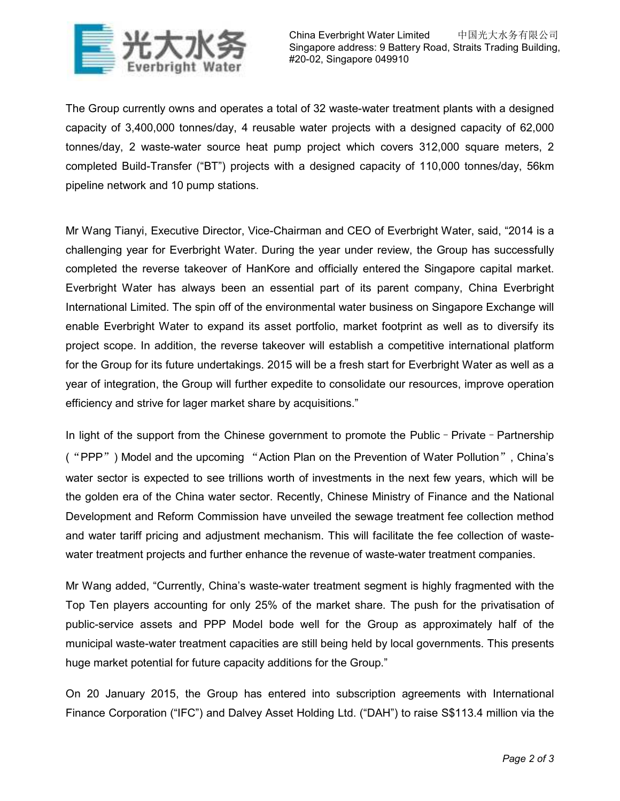

China Everbright Water Limited 中国光大水务有限公司 Singapore address: 9 Battery Road, Straits Trading Building, #20-02, Singapore 049910

The Group currently owns and operates a total of 32 waste-water treatment plants with a designed capacity of 3,400,000 tonnes/day, 4 reusable water projects with a designed capacity of 62,000 tonnes/day, 2 waste-water source heat pump project which covers 312,000 square meters, 2 completed Build-Transfer ("BT") projects with a designed capacity of 110,000 tonnes/day, 56km pipeline network and 10 pump stations.

Mr Wang Tianyi, Executive Director, Vice-Chairman and CEO of Everbright Water, said, "2014 is a challenging year for Everbright Water. During the year under review, the Group has successfully completed the reverse takeover of HanKore and officially entered the Singapore capital market. Everbright Water has always been an essential part of its parent company, China Everbright International Limited. The spin off of the environmental water business on Singapore Exchange will enable Everbright Water to expand its asset portfolio, market footprint as well as to diversify its project scope. In addition, the reverse takeover will establish a competitive international platform for the Group for its future undertakings. 2015 will be a fresh start for Everbright Water as well as a year of integration, the Group will further expedite to consolidate our resources, improve operation efficiency and strive for lager market share by acquisitions."

In light of the support from the Chinese government to promote the Public - Private - Partnership ("PPP") Model and the upcoming "Action Plan on the Prevention of Water Pollution", China's water sector is expected to see trillions worth of investments in the next few years, which will be the golden era of the China water sector. Recently, Chinese Ministry of Finance and the National Development and Reform Commission have unveiled the sewage treatment fee collection method and water tariff pricing and adjustment mechanism. This will facilitate the fee collection of wastewater treatment projects and further enhance the revenue of waste-water treatment companies.

Mr Wang added, "Currently, China's waste-water treatment segment is highly fragmented with the Top Ten players accounting for only 25% of the market share. The push for the privatisation of public-service assets and PPP Model bode well for the Group as approximately half of the municipal waste-water treatment capacities are still being held by local governments. This presents huge market potential for future capacity additions for the Group."

On 20 January 2015, the Group has entered into subscription agreements with International Finance Corporation ("IFC") and Dalvey Asset Holding Ltd. ("DAH") to raise S\$113.4 million via the